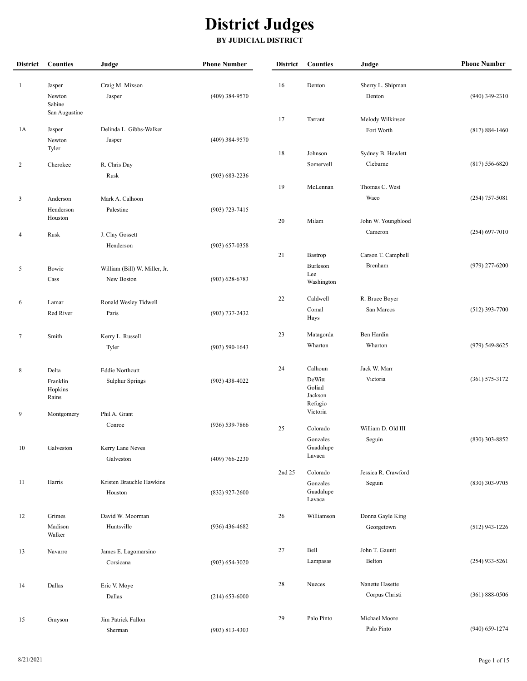| <b>District</b>         | Counties                | Judge                         | <b>Phone Number</b> | <b>District</b> | <b>Counties</b>     | Judge               | <b>Phone Number</b> |
|-------------------------|-------------------------|-------------------------------|---------------------|-----------------|---------------------|---------------------|---------------------|
| $\mathbf{1}$            | Jasper                  | Craig M. Mixson               |                     | 16              | Denton              | Sherry L. Shipman   |                     |
|                         | Newton                  |                               | $(409)$ 384-9570    |                 |                     |                     | $(940)$ 349-2310    |
|                         | Sabine<br>San Augustine | Jasper                        |                     |                 |                     | Denton              |                     |
| 1A                      |                         | Delinda L. Gibbs-Walker       |                     | 17              | Tarrant             | Melody Wilkinson    |                     |
|                         | Jasper<br>Newton        | Jasper                        | $(409)$ 384-9570    |                 |                     | Fort Worth          | $(817) 884 - 1460$  |
|                         | Tyler                   |                               |                     | $18\,$          | Johnson             | Sydney B. Hewlett   |                     |
| 2                       | Cherokee                | R. Chris Day                  |                     |                 | Somervell           | Cleburne            | $(817) 556 - 6820$  |
|                         |                         | Rusk                          | $(903) 683 - 2236$  |                 |                     |                     |                     |
|                         |                         |                               |                     | 19              | McLennan            | Thomas C. West      |                     |
| $\overline{\mathbf{3}}$ | Anderson                | Mark A. Calhoon               |                     |                 |                     | Waco                | $(254)$ 757-5081    |
|                         | Henderson               | Palestine                     | $(903) 723 - 7415$  |                 |                     |                     |                     |
|                         | Houston                 |                               |                     | 20              | Milam               | John W. Youngblood  |                     |
|                         |                         |                               |                     |                 |                     | Cameron             | $(254) 697 - 7010$  |
| $\overline{4}$          | Rusk                    | J. Clay Gossett<br>Henderson  | $(903) 657 - 0358$  |                 |                     |                     |                     |
|                         |                         |                               |                     | 21              | Bastrop             | Carson T. Campbell  |                     |
|                         |                         |                               |                     |                 | Burleson            | Brenham             | $(979)$ 277-6200    |
| 5                       | Bowie                   | William (Bill) W. Miller, Jr. |                     |                 | Lee                 |                     |                     |
|                         | Cass                    | New Boston                    | $(903) 628 - 6783$  |                 | Washington          |                     |                     |
| 6                       | Lamar                   | Ronald Wesley Tidwell         |                     | 22              | Caldwell            | R. Bruce Boyer      |                     |
|                         | Red River               | Paris                         | $(903)$ 737-2432    |                 | Comal<br>Hays       | San Marcos          | $(512)$ 393-7700    |
| 7                       | Smith                   | Kerry L. Russell              |                     | 23              | Matagorda           | Ben Hardin          |                     |
|                         |                         | Tyler                         | $(903) 590 - 1643$  |                 | Wharton             | Wharton             | $(979) 549 - 8625$  |
|                         |                         |                               |                     |                 |                     |                     |                     |
| $8\phantom{.0}$         | Delta                   | <b>Eddie Northcutt</b>        |                     | 24              | Calhoun             | Jack W. Marr        |                     |
|                         | Franklin                | <b>Sulphur Springs</b>        | $(903)$ 438-4022    |                 | DeWitt              | Victoria            | $(361) 575 - 3172$  |
|                         | Hopkins                 |                               |                     |                 | Goliad<br>Jackson   |                     |                     |
|                         | Rains                   |                               |                     |                 | Refugio             |                     |                     |
| 9                       | Montgomery              | Phil A. Grant                 |                     |                 | Victoria            |                     |                     |
|                         |                         | Conroe                        | (936) 539-7866      | 25              | Colorado            | William D. Old III  |                     |
|                         |                         |                               |                     |                 | Gonzales            | Seguin              | $(830)$ 303-8852    |
| $10\,$                  | Galveston               | Kerry Lane Neves              |                     |                 | Guadalupe           |                     |                     |
|                         |                         | Galveston                     | $(409) 766 - 2230$  |                 | Lavaca              |                     |                     |
|                         |                         |                               |                     | 2nd 25          | Colorado            | Jessica R. Crawford |                     |
| 11                      | Harris                  | Kristen Brauchle Hawkins      |                     |                 | Gonzales            | Seguin              | (830) 303-9705      |
|                         |                         | Houston                       | (832) 927-2600      |                 | Guadalupe<br>Lavaca |                     |                     |
|                         | Grimes                  | David W. Moorman              |                     |                 |                     |                     |                     |
| 12                      | Madison                 | Huntsville                    | $(936)$ 436-4682    | 26              | Williamson          | Donna Gayle King    | $(512)$ 943-1226    |
|                         | Walker                  |                               |                     |                 |                     | Georgetown          |                     |
| 13                      | Navarro                 | James E. Lagomarsino          |                     | 27              | Bell                | John T. Gauntt      |                     |
|                         |                         | Corsicana                     | $(903) 654 - 3020$  |                 | Lampasas            | Belton              | $(254)$ 933-5261    |
|                         |                         |                               |                     |                 |                     |                     |                     |
| 14                      | Dallas                  | Eric V. Moye                  |                     | 28              | Nueces              | Nanette Hasette     |                     |
|                         |                         | Dallas                        | $(214)$ 653-6000    |                 |                     | Corpus Christi      | $(361) 888 - 0506$  |
|                         |                         | Jim Patrick Fallon            |                     | 29              | Palo Pinto          | Michael Moore       |                     |
| 15                      | Grayson                 | Sherman                       | $(903) 813 - 4303$  |                 |                     | Palo Pinto          | $(940)$ 659-1274    |
|                         |                         |                               |                     |                 |                     |                     |                     |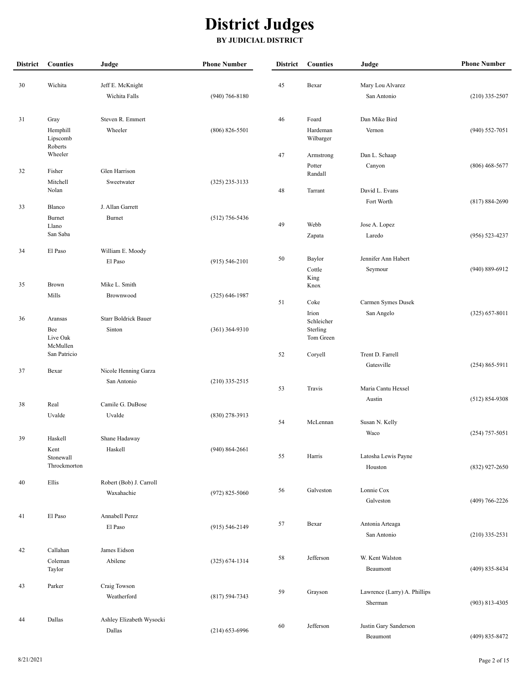| <b>District</b> | <b>Counties</b>                 | Judge                       | <b>Phone Number</b> | <b>District</b> | Counties              | Judge                                   | <b>Phone Number</b> |
|-----------------|---------------------------------|-----------------------------|---------------------|-----------------|-----------------------|-----------------------------------------|---------------------|
| 30              | Wichita                         | Jeff E. McKnight            |                     | 45              | Bexar                 |                                         |                     |
|                 |                                 | Wichita Falls               | $(940) 766 - 8180$  |                 |                       | Mary Lou Alvarez<br>San Antonio         | $(210)$ 335-2507    |
|                 |                                 |                             |                     |                 |                       |                                         |                     |
| 31              | Gray                            | Steven R. Emmert            |                     | 46              | Foard                 | Dan Mike Bird                           |                     |
|                 | Hemphill<br>Lipscomb<br>Roberts | Wheeler                     | $(806) 826 - 5501$  |                 | Hardeman<br>Wilbarger | Vernon                                  | $(940)$ 552-7051    |
|                 | Wheeler                         |                             |                     | 47              | Armstrong             | Dan L. Schaap                           |                     |
| 32              | Fisher                          | Glen Harrison               |                     |                 | Potter                | Canyon                                  | $(806)$ 468-5677    |
|                 | Mitchell                        | Sweetwater                  | $(325)$ 235-3133    |                 | Randall               |                                         |                     |
|                 | Nolan                           |                             |                     | 48              | Tarrant               | David L. Evans                          |                     |
| 33              | Blanco                          | J. Allan Garrett            |                     |                 |                       | Fort Worth                              | $(817) 884 - 2690$  |
|                 | Burnet                          | Burnet                      | $(512)$ 756-5436    | 49              |                       |                                         |                     |
|                 | Llano<br>San Saba               |                             |                     |                 | Webb<br>Zapata        | Jose A. Lopez<br>Laredo                 | $(956) 523 - 4237$  |
|                 |                                 |                             |                     |                 |                       |                                         |                     |
| 34              | El Paso                         | William E. Moody<br>El Paso | $(915) 546 - 2101$  | 50              | Baylor                | Jennifer Ann Habert                     |                     |
|                 |                                 |                             |                     |                 | Cottle                | Seymour                                 | $(940) 889 - 6912$  |
| 35              | Brown                           | Mike L. Smith               |                     |                 | King<br>Knox          |                                         |                     |
|                 | Mills                           | Brownwood                   | $(325) 646 - 1987$  |                 |                       |                                         |                     |
|                 |                                 |                             |                     | 51              | Coke                  | Carmen Symes Dusek                      |                     |
| 36              | Aransas                         | <b>Starr Boldrick Bauer</b> |                     |                 | Irion<br>Schleicher   | San Angelo                              | $(325) 657 - 8011$  |
|                 | Bee                             | Sinton                      | $(361)$ 364-9310    |                 | Sterling              |                                         |                     |
|                 | Live Oak<br>McMullen            |                             |                     |                 | Tom Green             |                                         |                     |
|                 | San Patricio                    |                             |                     | 52              | Coryell               | Trent D. Farrell                        |                     |
| 37              | Bexar                           | Nicole Henning Garza        |                     |                 |                       | Gatesville                              | $(254) 865 - 5911$  |
|                 |                                 | San Antonio                 | $(210)$ 335-2515    |                 |                       |                                         |                     |
|                 |                                 |                             |                     | 53              | Travis                | Maria Cantu Hexsel<br>Austin            | $(512) 854-9308$    |
| 38              | Real                            | Camile G. DuBose            |                     |                 |                       |                                         |                     |
|                 | Uvalde                          | Uvalde                      | $(830)$ 278-3913    | 54              | McLennan              | Susan N. Kelly                          |                     |
|                 |                                 |                             |                     |                 |                       | Waco                                    | $(254)$ 757-5051    |
| 39              | Haskell<br>Kent                 | Shane Hadaway<br>Haskell    | $(940) 864 - 2661$  |                 |                       |                                         |                     |
|                 | Stonewall                       |                             |                     | 55              | Harris                | Latosha Lewis Payne                     |                     |
|                 | Throckmorton                    |                             |                     |                 |                       | Houston                                 | (832) 927-2650      |
| 40              | Ellis                           | Robert (Bob) J. Carroll     |                     |                 |                       |                                         |                     |
|                 |                                 | Waxahachie                  | $(972)$ 825-5060    | 56              | Galveston             | Lonnie Cox<br>Galveston                 | $(409)$ 766-2226    |
|                 |                                 |                             |                     |                 |                       |                                         |                     |
| 41              | El Paso                         | <b>Annabell Perez</b>       |                     | 57              | Bexar                 | Antonia Arteaga                         |                     |
|                 |                                 | El Paso                     | $(915) 546 - 2149$  |                 |                       | San Antonio                             | $(210)$ 335-2531    |
| 42              | Callahan                        | James Eidson                |                     |                 |                       |                                         |                     |
|                 | Coleman                         | Abilene                     | $(325) 674 - 1314$  | 58              | Jefferson             | W. Kent Walston                         |                     |
|                 | Taylor                          |                             |                     |                 |                       | Beaumont                                | (409) 835-8434      |
| 43              | Parker                          | Craig Towson                |                     |                 |                       |                                         |                     |
|                 |                                 | Weatherford                 | $(817) 594 - 7343$  | 59              | Grayson               | Lawrence (Larry) A. Phillips<br>Sherman |                     |
|                 |                                 |                             |                     |                 |                       |                                         | $(903)$ 813-4305    |
| 44              | Dallas                          | Ashley Elizabeth Wysocki    |                     | 60              | Jefferson             | Justin Gary Sanderson                   |                     |
|                 |                                 | Dallas                      | $(214)$ 653-6996    |                 |                       | Beaumont                                | (409) 835-8472      |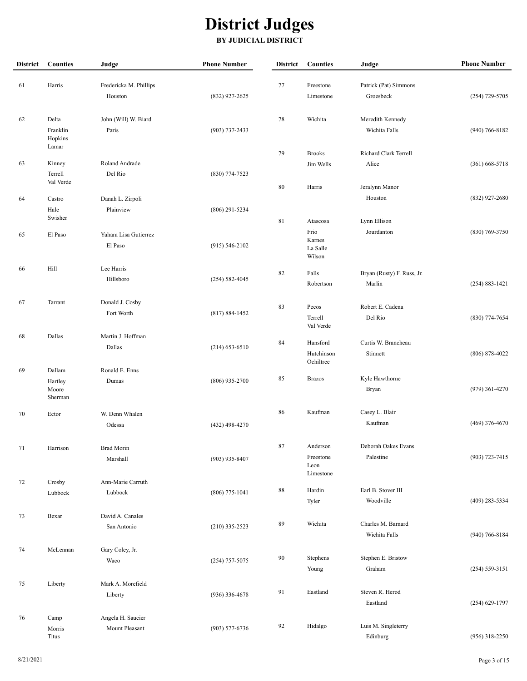| <b>District</b> | <b>Counties</b>                       | Judge                               | <b>Phone Number</b> | <b>District</b> | <b>Counties</b>                      | Judge                               | <b>Phone Number</b> |
|-----------------|---------------------------------------|-------------------------------------|---------------------|-----------------|--------------------------------------|-------------------------------------|---------------------|
| 61              | Harris                                | Fredericka M. Phillips<br>Houston   | $(832)$ 927-2625    | 77              | Freestone<br>Limestone               | Patrick (Pat) Simmons<br>Groesbeck  | (254) 729-5705      |
| 62              | Delta<br>Franklin<br>Hopkins<br>Lamar | John (Will) W. Biard<br>Paris       | $(903)$ 737-2433    | 78              | Wichita                              | Meredith Kennedy<br>Wichita Falls   | $(940)$ 766-8182    |
|                 |                                       | Roland Andrade                      |                     | 79              | <b>Brooks</b>                        | Richard Clark Terrell               |                     |
| 63              | Kinney<br>Terrell<br>Val Verde        | Del Rio                             | $(830)$ 774-7523    |                 | Jim Wells                            | Alice                               | $(361)$ 668-5718    |
| 64              | Castro                                | Danah L. Zirpoli                    |                     | 80              | Harris                               | Jeralynn Manor<br>Houston           | (832) 927-2680      |
|                 | Hale                                  | Plainview                           | $(806)$ 291-5234    |                 |                                      |                                     |                     |
|                 | Swisher                               |                                     |                     | 81              | Atascosa                             | Lynn Ellison                        |                     |
| 65              | El Paso                               | Yahara Lisa Gutierrez<br>El Paso    | $(915) 546 - 2102$  |                 | Frio<br>Karnes<br>La Salle<br>Wilson | Jourdanton                          | $(830) 769 - 3750$  |
| 66              | Hill                                  | Lee Harris                          |                     | 82              | Falls                                | Bryan (Rusty) F. Russ, Jr.          |                     |
|                 |                                       | Hillsboro                           | $(254) 582 - 4045$  |                 | Robertson                            | Marlin                              | $(254) 883 - 1421$  |
| 67              | Tarrant                               | Donald J. Cosby<br>Fort Worth       | $(817) 884 - 1452$  | 83              | Pecos<br>Terrell<br>Val Verde        | Robert E. Cadena<br>Del Rio         | $(830)$ 774-7654    |
| 68              | Dallas                                | Martin J. Hoffman<br>Dallas         | $(214)$ 653-6510    | 84              | Hansford<br>Hutchinson<br>Ochiltree  | Curtis W. Brancheau<br>Stinnett     | $(806) 878 - 4022$  |
| 69              | Dallam                                | Ronald E. Enns                      |                     |                 |                                      |                                     |                     |
|                 | Hartley<br>Moore<br>Sherman           | Dumas                               | $(806)$ 935-2700    | 85              | <b>Brazos</b>                        | Kyle Hawthorne<br>Bryan             | $(979)$ 361-4270    |
| 70              | Ector                                 | W. Denn Whalen                      |                     | 86              | Kaufman                              | Casey L. Blair                      |                     |
|                 |                                       | Odessa                              | $(432)$ 498-4270    |                 |                                      | Kaufman                             | $(469)$ 376-4670    |
| $71\,$          | Harrison                              | <b>Brad Morin</b><br>Marshall       | (903) 935-8407      | 87              | Anderson<br>Freestone<br>Leon        | Deborah Oakes Evans<br>Palestine    | (903) 723-7415      |
| 72              | Crosby                                | Ann-Marie Carruth                   |                     |                 | Limestone                            |                                     |                     |
|                 | Lubbock                               | Lubbock                             | $(806)$ 775-1041    | 88              | Hardin<br>Tyler                      | Earl B. Stover III<br>Woodville     | $(409)$ 283-5334    |
| 73              | Bexar                                 | David A. Canales                    |                     |                 |                                      |                                     |                     |
|                 |                                       | San Antonio                         | $(210)$ 335-2523    | 89              | Wichita                              | Charles M. Barnard<br>Wichita Falls | $(940)$ 766-8184    |
| 74              | McLennan                              | Gary Coley, Jr.<br>Waco             | $(254)$ 757-5075    | 90              | Stephens<br>Young                    | Stephen E. Bristow<br>Graham        | $(254) 559 - 3151$  |
| 75              | Liberty                               | Mark A. Morefield<br>Liberty        | $(936)$ 336-4678    | 91              | Eastland                             | Steven R. Herod<br>Eastland         | $(254) 629 - 1797$  |
| 76              | Camp<br>Morris<br>Titus               | Angela H. Saucier<br>Mount Pleasant | $(903) 577 - 6736$  | 92              | Hidalgo                              | Luis M. Singleterry<br>Edinburg     | $(956)$ 318-2250    |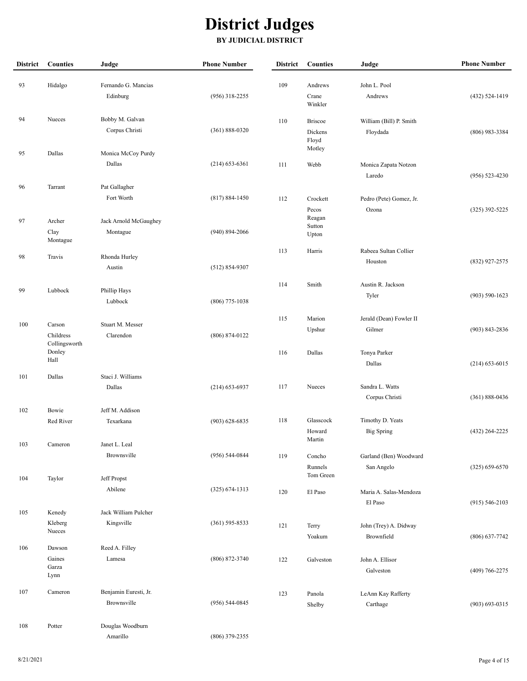| <b>District</b> | Counties                   | Judge                 | <b>Phone Number</b> | <b>District</b> | <b>Counties</b>  | Judge                          | <b>Phone Number</b> |
|-----------------|----------------------------|-----------------------|---------------------|-----------------|------------------|--------------------------------|---------------------|
| 93              | Hidalgo                    | Fernando G. Mancias   |                     | 109             | Andrews          | John L. Pool                   |                     |
|                 |                            |                       |                     |                 |                  |                                |                     |
|                 |                            | Edinburg              | $(956)$ 318-2255    |                 | Crane<br>Winkler | Andrews                        | (432) 524-1419      |
| 94              | Nueces                     | Bobby M. Galvan       |                     | 110             | Briscoe          | William (Bill) P. Smith        |                     |
|                 |                            | Corpus Christi        | $(361) 888 - 0320$  |                 | Dickens          | Floydada                       | $(806)$ 983-3384    |
| 95              | Dallas                     | Monica McCoy Purdy    |                     |                 | Floyd<br>Motley  |                                |                     |
|                 |                            | Dallas                | $(214)$ 653-6361    |                 |                  |                                |                     |
|                 |                            |                       |                     | 111             | Webb             | Monica Zapata Notzon<br>Laredo | $(956) 523 - 4230$  |
| 96              | Tarrant                    | Pat Gallagher         |                     |                 |                  |                                |                     |
|                 |                            | Fort Worth            | $(817) 884 - 1450$  | 112             | Crockett         | Pedro (Pete) Gomez, Jr.        |                     |
|                 |                            |                       |                     |                 | Pecos            | Ozona                          | $(325)$ 392-5225    |
| 97              | Archer                     |                       |                     |                 | Reagan           |                                |                     |
|                 |                            | Jack Arnold McGaughey |                     |                 | Sutton           |                                |                     |
|                 | Clay<br>Montague           | Montague              | $(940)$ 894-2066    |                 | Upton            |                                |                     |
| 98              | Travis                     | Rhonda Hurley         |                     | 113             | Harris           | Rabeea Sultan Collier          |                     |
|                 |                            | Austin                | $(512) 854-9307$    |                 |                  | Houston                        | (832) 927-2575      |
|                 |                            |                       |                     |                 | Smith            |                                |                     |
| 99              | Lubbock                    | Phillip Hays          |                     | 114             |                  | Austin R. Jackson              |                     |
|                 |                            | Lubbock               | $(806)$ 775-1038    |                 |                  | Tyler                          | $(903) 590 - 1623$  |
|                 |                            |                       |                     | 115             | Marion           | Jerald (Dean) Fowler II        |                     |
| 100             | Carson                     | Stuart M. Messer      |                     |                 | Upshur           | Gilmer                         | $(903) 843 - 2836$  |
|                 | Childress<br>Collingsworth | Clarendon             | $(806) 874 - 0122$  |                 |                  |                                |                     |
|                 | Donley                     |                       |                     | 116             | Dallas           | Tonya Parker                   |                     |
|                 | Hall                       |                       |                     |                 |                  | Dallas                         | $(214)$ 653-6015    |
| 101             | Dallas                     | Staci J. Williams     |                     |                 |                  |                                |                     |
|                 |                            | Dallas                | $(214)$ 653-6937    | 117             | Nueces           | Sandra L. Watts                |                     |
|                 |                            |                       |                     |                 |                  | Corpus Christi                 | $(361) 888 - 0436$  |
| 102             | Bowie                      | Jeff M. Addison       |                     |                 |                  |                                |                     |
|                 | Red River                  | Texarkana             | $(903) 628 - 6835$  | 118             | Glasscock        | Timothy D. Yeats               |                     |
|                 |                            |                       |                     |                 | Howard           | <b>Big Spring</b>              | (432) 264-2225      |
| 103             | Cameron                    | Janet L. Leal         |                     |                 | Martin           |                                |                     |
|                 |                            | Brownsville           | $(956) 544 - 0844$  | 119             | Concho           | Garland (Ben) Woodward         |                     |
|                 |                            |                       |                     |                 | Runnels          | San Angelo                     | $(325) 659 - 6570$  |
| 104             | Taylor                     | Jeff Propst           |                     |                 | Tom Green        |                                |                     |
|                 |                            | Abilene               | $(325) 674 - 1313$  | 120             | El Paso          | Maria A. Salas-Mendoza         |                     |
|                 |                            |                       |                     |                 |                  | El Paso                        | $(915) 546 - 2103$  |
| 105             | Kenedy                     | Jack William Pulcher  |                     |                 |                  |                                |                     |
|                 | Kleberg                    | Kingsville            | $(361) 595 - 8533$  | 121             | Terry            | John (Trey) A. Didway          |                     |
|                 | Nueces                     |                       |                     |                 | Yoakum           | Brownfield                     | $(806) 637 - 7742$  |
| 106             | Dawson                     | Reed A. Filley        |                     |                 |                  |                                |                     |
|                 | Gaines                     | Lamesa                | $(806)$ 872-3740    |                 |                  |                                |                     |
|                 | Garza                      |                       |                     | 122             | Galveston        | John A. Ellisor                |                     |
|                 | Lynn                       |                       |                     |                 |                  | Galveston                      | $(409) 766 - 2275$  |
| 107             | Cameron                    | Benjamin Euresti, Jr. |                     | 123             | Panola           | LeAnn Kay Rafferty             |                     |
|                 |                            | Brownsville           | $(956) 544 - 0845$  |                 | Shelby           | Carthage                       | $(903) 693 - 0315$  |
|                 |                            |                       |                     |                 |                  |                                |                     |
| 108             | Potter                     | Douglas Woodburn      |                     |                 |                  |                                |                     |
|                 |                            | Amarillo              | $(806)$ 379-2355    |                 |                  |                                |                     |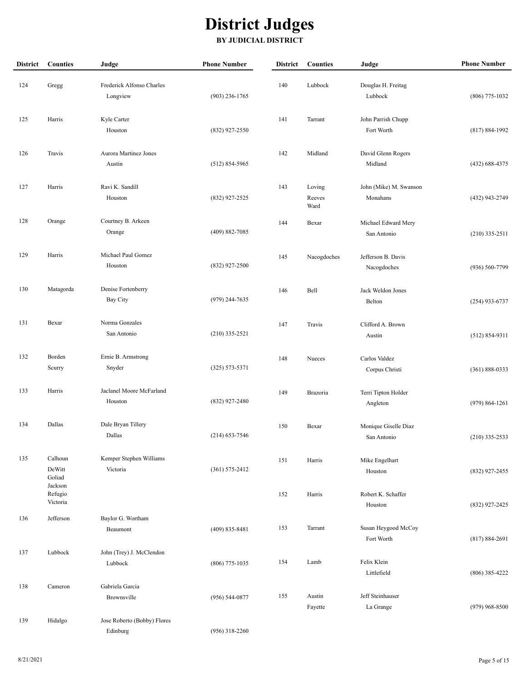| <b>District</b> | <b>Counties</b>                        | Judge                                   | <b>Phone Number</b> | <b>District</b> | <b>Counties</b>          | Judge                               | <b>Phone Number</b> |
|-----------------|----------------------------------------|-----------------------------------------|---------------------|-----------------|--------------------------|-------------------------------------|---------------------|
| 124             | Gregg                                  | Frederick Alfonso Charles<br>Longview   | $(903)$ 236-1765    | 140             | Lubbock                  | Douglas H. Freitag<br>Lubbock       | $(806)$ 775-1032    |
| 125             | Harris                                 | Kyle Carter<br>Houston                  | (832) 927-2550      | 141             | Tarrant                  | John Parrish Chupp<br>Fort Worth    | $(817) 884 - 1992$  |
| 126             | Travis                                 | Aurora Martinez Jones<br>Austin         | $(512) 854 - 5965$  | 142             | Midland                  | David Glenn Rogers<br>Midland       | $(432) 688 - 4375$  |
| 127             | Harris                                 | Ravi K. Sandill<br>Houston              | (832) 927-2525      | 143             | Loving<br>Reeves<br>Ward | John (Mike) M. Swanson<br>Monahans  | (432) 943-2749      |
| 128             | Orange                                 | Courtney B. Arkeen<br>Orange            | $(409) 882 - 7085$  | 144             | Bexar                    | Michael Edward Mery<br>San Antonio  | $(210)$ 335-2511    |
| 129             | Harris                                 | Michael Paul Gomez<br>Houston           | (832) 927-2500      | 145             | Nacogdoches              | Jefferson B. Davis<br>Nacogdoches   | $(936) 560 - 7799$  |
| 130             | Matagorda                              | Denise Fortenberry<br>Bay City          | $(979)$ 244-7635    | 146             | Bell                     | Jack Weldon Jones<br>Belton         | $(254)$ 933-6737    |
| 131             | Bexar                                  | Norma Gonzales<br>San Antonio           | $(210)$ 335-2521    | 147             | Travis                   | Clifford A. Brown<br>Austin         | $(512) 854-9311$    |
| 132             | Borden<br>Scurry                       | Ernie B. Armstrong<br>Snyder            | $(325) 573 - 5371$  | 148             | Nueces                   | Carlos Valdez<br>Corpus Christi     | $(361) 888 - 0333$  |
| 133             | Harris                                 | Jaclanel Moore McFarland<br>Houston     | (832) 927-2480      | 149             | <b>Brazoria</b>          | Terri Tipton Holder<br>Angleton     | $(979) 864 - 1261$  |
| 134             | Dallas                                 | Dale Bryan Tillery<br>Dallas            | $(214)$ 653-7546    | 150             | Bexar                    | Monique Giselle Diaz<br>San Antonio | $(210)$ 335-2533    |
| 135             | Calhoun<br>DeWitt<br>Goliad<br>Jackson | Kemper Stephen Williams<br>Victoria     | $(361) 575 - 2412$  | 151             | Harris                   | Mike Engelhart<br>Houston           | (832) 927-2455      |
|                 | Refugio<br>Victoria                    |                                         |                     | 152             | Harris                   | Robert K. Schaffer<br>Houston       | (832) 927-2425      |
| 136             | Jefferson                              | Baylor G. Wortham<br>Beaumont           | $(409) 835 - 8481$  | 153             | Tarrant                  | Susan Heygood McCoy<br>Fort Worth   | $(817) 884 - 2691$  |
| 137             | Lubbock                                | John (Trey) J. McClendon<br>Lubbock     | (806) 775-1035      | 154             | Lamb                     | Felix Klein<br>Littlefield          | $(806)$ 385-4222    |
| 138             | Cameron                                | Gabriela Garcia<br>Brownsville          | $(956) 544-0877$    | 155             | Austin<br>Fayette        | Jeff Steinhauser<br>La Grange       | $(979)$ 968-8500    |
| 139             | Hidalgo                                | Jose Roberto (Bobby) Flores<br>Edinburg | $(956)$ 318-2260    |                 |                          |                                     |                     |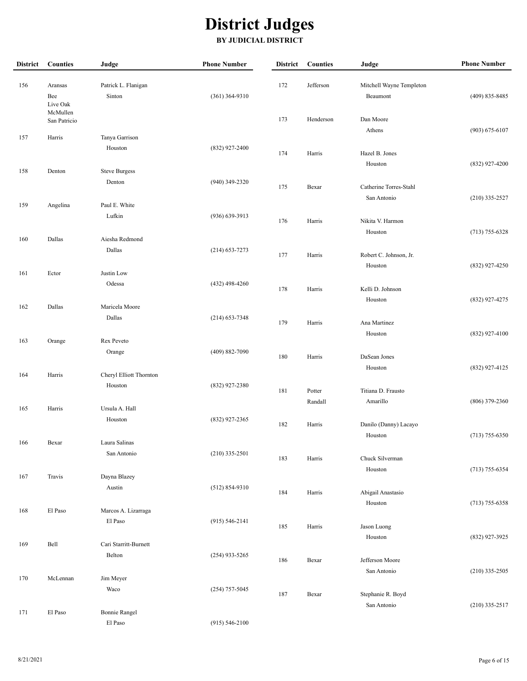| <b>District</b> | <b>Counties</b>                             | Judge                           | <b>Phone Number</b> | <b>District</b> | <b>Counties</b>   | Judge                                 | <b>Phone Number</b> |
|-----------------|---------------------------------------------|---------------------------------|---------------------|-----------------|-------------------|---------------------------------------|---------------------|
| 156             | Aransas                                     | Patrick L. Flanigan             |                     | 172             | Jefferson         | Mitchell Wayne Templeton              |                     |
|                 | Bee<br>Live Oak<br>McMullen<br>San Patricio | Sinton                          | $(361)$ 364-9310    | 173             | Henderson         | Beaumont<br>Dan Moore                 | (409) 835-8485      |
| 157             | Harris                                      | Tanya Garrison                  |                     |                 |                   | Athens                                | $(903) 675 - 6107$  |
|                 |                                             | Houston                         | (832) 927-2400      | 174             | Harris            | Hazel B. Jones<br>Houston             | (832) 927-4200      |
| 158             | Denton                                      | <b>Steve Burgess</b>            |                     |                 |                   |                                       |                     |
|                 |                                             | Denton                          | $(940)$ 349-2320    | 175             | Bexar             | Catherine Torres-Stahl<br>San Antonio | $(210)$ 335-2527    |
| 159             | Angelina                                    | Paul E. White                   |                     |                 |                   |                                       |                     |
|                 |                                             | Lufkin                          | $(936) 639 - 3913$  | 176             | Harris            | Nikita V. Harmon<br>Houston           | $(713) 755 - 6328$  |
| 160             | Dallas                                      | Aiesha Redmond                  |                     |                 |                   |                                       |                     |
|                 |                                             | Dallas                          | $(214)$ 653-7273    | 177             | Harris            | Robert C. Johnson, Jr.<br>Houston     | (832) 927-4250      |
| 161             | Ector                                       | Justin Low                      |                     |                 |                   |                                       |                     |
|                 |                                             | Odessa                          | $(432)$ 498-4260    | 178             | Harris            | Kelli D. Johnson<br>Houston           | (832) 927-4275      |
| 162             | Dallas                                      | Maricela Moore<br>Dallas        | $(214)$ 653-7348    |                 |                   |                                       |                     |
|                 |                                             |                                 |                     | 179             | Harris            | Ana Martinez<br>Houston               | (832) 927-4100      |
| 163             | Orange                                      | Rex Peveto<br>Orange            | $(409) 882 - 7090$  |                 |                   |                                       |                     |
|                 |                                             |                                 |                     | 180             | Harris            | DaSean Jones<br>Houston               | (832) 927-4125      |
| 164             | Harris                                      | Cheryl Elliott Thornton         |                     |                 |                   |                                       |                     |
|                 |                                             | Houston                         | (832) 927-2380      | 181             | Potter<br>Randall | Titiana D. Frausto<br>Amarillo        | (806) 379-2360      |
| 165             | Harris                                      | Ursula A. Hall                  |                     |                 |                   |                                       |                     |
|                 |                                             | Houston                         | (832) 927-2365      | 182             | Harris            | Danilo (Danny) Lacayo<br>Houston      | $(713) 755 - 6350$  |
| 166             | Bexar                                       | Laura Salinas                   | $(210)$ 335-2501    |                 |                   |                                       |                     |
|                 |                                             | San Antonio                     |                     | 183             | Harris            | Chuck Silverman<br>Houston            | $(713) 755 - 6354$  |
| 167             | Travis                                      | Dayna Blazey<br>Austin          | $(512) 854-9310$    |                 |                   |                                       |                     |
|                 |                                             |                                 |                     | 184             | Harris            | Abigail Anastasio<br>Houston          | $(713) 755 - 6358$  |
| 168             | El Paso                                     | Marcos A. Lizarraga<br>El Paso  | $(915) 546 - 2141$  |                 |                   |                                       |                     |
|                 |                                             |                                 |                     | 185             | Harris            | Jason Luong<br>Houston                | (832) 927-3925      |
| 169             | Bell                                        | Cari Starritt-Burnett<br>Belton | $(254)$ 933-5265    |                 |                   |                                       |                     |
|                 |                                             |                                 |                     | 186             | Bexar             | Jefferson Moore<br>San Antonio        | $(210)$ 335-2505    |
| 170             | McLennan                                    | Jim Meyer<br>Waco               | $(254)$ 757-5045    |                 |                   |                                       |                     |
|                 |                                             |                                 |                     | 187             | $\rm{Bexar}$      | Stephanie R. Boyd<br>San Antonio      | $(210)$ 335-2517    |
| 171             | El Paso                                     | <b>Bonnie Rangel</b><br>El Paso | $(915) 546 - 2100$  |                 |                   |                                       |                     |
|                 |                                             |                                 |                     |                 |                   |                                       |                     |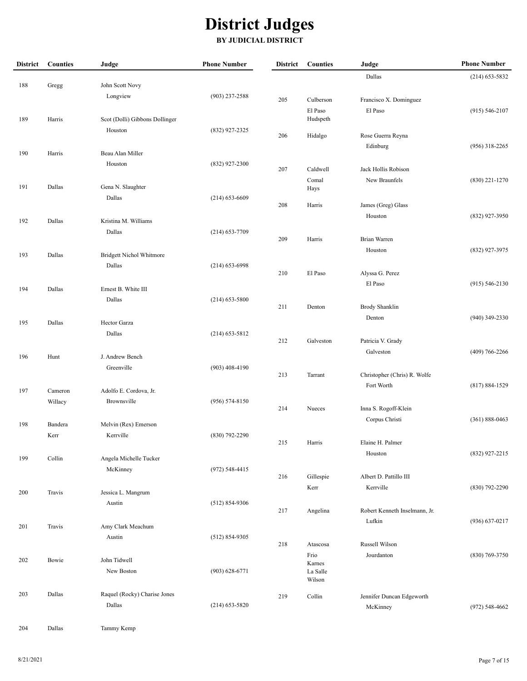### **BY JUDICIAL DISTRICT**

| <b>District</b> | <b>Counties</b> | Judge                          | <b>Phone Number</b> | <b>District</b> | <b>Counties</b>     | Judge                                | <b>Phone Number</b> |
|-----------------|-----------------|--------------------------------|---------------------|-----------------|---------------------|--------------------------------------|---------------------|
|                 |                 |                                |                     |                 |                     | Dallas                               | $(214)$ 653-5832    |
| 188             | Gregg           | John Scott Novy                |                     |                 |                     |                                      |                     |
|                 |                 | Longview                       | $(903)$ 237-2588    | 205             | Culberson           | Francisco X. Dominguez               |                     |
| 189             | Harris          | Scot (Dolli) Gibbons Dollinger |                     |                 | El Paso<br>Hudspeth | El Paso                              | $(915) 546 - 2107$  |
|                 |                 | Houston                        | (832) 927-2325      |                 |                     |                                      |                     |
|                 |                 |                                |                     | 206             | Hidalgo             | Rose Guerra Reyna                    |                     |
| 190             | Harris          | Beau Alan Miller               |                     |                 |                     | Edinburg                             | $(956)$ 318-2265    |
|                 |                 | Houston                        | $(832)$ 927-2300    |                 |                     |                                      |                     |
|                 |                 |                                |                     | 207             | Caldwell<br>Comal   | Jack Hollis Robison<br>New Braunfels | $(830)$ 221-1270    |
| 191             | Dallas          | Gena N. Slaughter              |                     |                 | Hays                |                                      |                     |
|                 |                 | Dallas                         | $(214)$ 653-6609    | 208             | Harris              | James (Greg) Glass                   |                     |
|                 |                 |                                |                     |                 |                     | Houston                              | (832) 927-3950      |
| 192             | Dallas          | Kristina M. Williams           |                     |                 |                     |                                      |                     |
|                 |                 | Dallas                         | $(214)$ 653-7709    | 209             | Harris              | <b>Brian Warren</b>                  |                     |
| 193             | Dallas          | Bridgett Nichol Whitmore       |                     |                 |                     | Houston                              | (832) 927-3975      |
|                 |                 | Dallas                         | $(214)$ 653-6998    |                 |                     |                                      |                     |
|                 |                 |                                |                     | 210             | El Paso             | Alyssa G. Perez                      |                     |
| 194             | Dallas          | Ernest B. White III            |                     |                 |                     | El Paso                              | $(915) 546 - 2130$  |
|                 |                 | Dallas                         | $(214)$ 653-5800    |                 |                     |                                      |                     |
|                 |                 |                                |                     | 211             | Denton              | <b>Brody Shanklin</b>                |                     |
| 195             | Dallas          | Hector Garza                   |                     |                 |                     | Denton                               | $(940)$ 349-2330    |
|                 |                 | Dallas                         | $(214)$ 653-5812    | 212             | Galveston           | Patricia V. Grady                    |                     |
|                 |                 |                                |                     |                 |                     | Galveston                            | $(409)$ 766-2266    |
| 196             | Hunt            | J. Andrew Bench<br>Greenville  |                     |                 |                     |                                      |                     |
|                 |                 |                                | $(903)$ 408-4190    | 213             | Tarrant             | Christopher (Chris) R. Wolfe         |                     |
| 197             | Cameron         | Adolfo E. Cordova, Jr.         |                     |                 |                     | Fort Worth                           | $(817) 884 - 1529$  |
|                 | Willacy         | Brownsville                    | $(956) 574 - 8150$  |                 |                     |                                      |                     |
|                 |                 |                                |                     | 214             | Nueces              | Inna S. Rogoff-Klein                 |                     |
| 198             | Bandera         | Melvin (Rex) Emerson           |                     |                 |                     | Corpus Christi                       | $(361) 888 - 0463$  |
|                 | Kerr            | Kerrville                      | $(830)$ 792-2290    |                 |                     |                                      |                     |
|                 |                 |                                |                     | 215             | Harris              | Elaine H. Palmer<br>Houston          | (832) 927-2215      |
| 199             | Collin          | Angela Michelle Tucker         |                     |                 |                     |                                      |                     |
|                 |                 | McKinney                       | (972) 548-4415      | 216             | Gillespie           | Albert D. Pattillo III               |                     |
|                 |                 |                                |                     |                 | Kerr                | Kerrville                            | $(830)$ 792-2290    |
| 200             | Travis          | Jessica L. Mangrum<br>Austin   | $(512) 854-9306$    |                 |                     |                                      |                     |
|                 |                 |                                |                     | 217             | Angelina            | Robert Kenneth Inselmann, Jr.        |                     |
| 201             | Travis          | Amy Clark Meachum              |                     |                 |                     | Lufkin                               | $(936) 637 - 0217$  |
|                 |                 | Austin                         | $(512) 854-9305$    |                 |                     |                                      |                     |
|                 |                 |                                |                     | 218             | Atascosa            | Russell Wilson                       |                     |
| 202             | Bowie           | John Tidwell                   |                     |                 | Frio<br>Karnes      | Jourdanton                           | $(830)$ 769-3750    |
|                 |                 | New Boston                     | $(903) 628 - 6771$  |                 | La Salle            |                                      |                     |
|                 |                 |                                |                     |                 | Wilson              |                                      |                     |
| 203             | Dallas          | Raquel (Rocky) Charise Jones   |                     | 219             | Collin              | Jennifer Duncan Edgeworth            |                     |
|                 |                 | Dallas                         | $(214)$ 653-5820    |                 |                     | McKinney                             | $(972) 548 - 4662$  |
|                 |                 |                                |                     |                 |                     |                                      |                     |

204 Dallas Tammy Kemp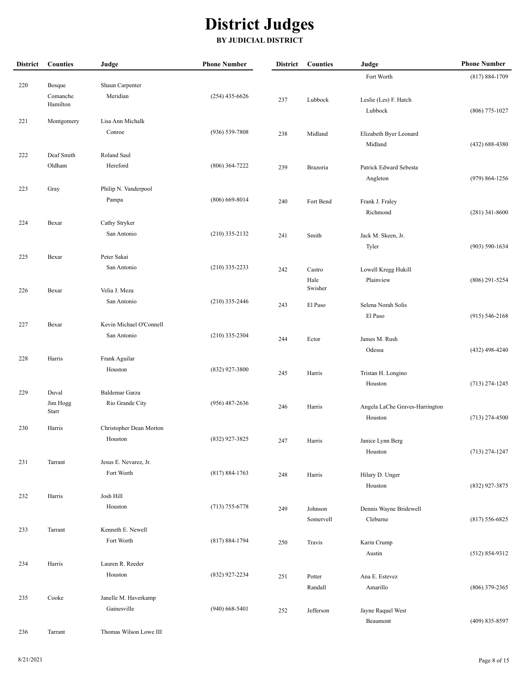| <b>District</b> | Counties   | Judge                   | <b>Phone Number</b> | <b>District</b> | <b>Counties</b> | Judge                          | <b>Phone Number</b> |
|-----------------|------------|-------------------------|---------------------|-----------------|-----------------|--------------------------------|---------------------|
|                 |            |                         |                     |                 |                 | Fort Worth                     | $(817) 884 - 1709$  |
| 220             | Bosque     | Shaun Carpenter         |                     |                 |                 |                                |                     |
|                 | Comanche   | Meridian                | $(254)$ 435-6626    | 237             | Lubbock         | Leslie (Les) F. Hatch          |                     |
|                 | Hamilton   |                         |                     |                 |                 | Lubbock                        | (806) 775-1027      |
| 221             | Montgomery | Lisa Ann Michalk        |                     |                 |                 |                                |                     |
|                 |            | Conroe                  | $(936) 539 - 7808$  | 238             | Midland         | Elizabeth Byer Leonard         |                     |
|                 |            |                         |                     |                 |                 | Midland                        | $(432) 688 - 4380$  |
| 222             | Deaf Smith | Roland Saul             |                     |                 |                 |                                |                     |
|                 | Oldham     | Hereford                | $(806)$ 364-7222    | 239             | Brazoria        | Patrick Edward Sebesta         |                     |
|                 |            |                         |                     |                 |                 | Angleton                       | $(979) 864 - 1256$  |
| 223             | Gray       | Philip N. Vanderpool    |                     |                 |                 |                                |                     |
|                 |            | Pampa                   | $(806)$ 669-8014    | 240             | Fort Bend       | Frank J. Fraley                |                     |
|                 |            |                         |                     |                 |                 | Richmond                       | $(281)$ 341-8600    |
| 224             | Bexar      | Cathy Stryker           |                     |                 |                 |                                |                     |
|                 |            | San Antonio             | $(210)$ 335-2132    |                 |                 |                                |                     |
|                 |            |                         |                     | 241             | Smith           | Jack M. Skeen, Jr.             |                     |
|                 |            |                         |                     |                 |                 | Tyler                          | $(903) 590 - 1634$  |
| 225             | Bexar      | Peter Sakai             |                     |                 |                 |                                |                     |
|                 |            | San Antonio             | $(210)$ 335-2233    | 242             | Castro          | Lowell Kregg Hukill            |                     |
|                 |            |                         |                     |                 | Hale<br>Swisher | Plainview                      | $(806)$ 291-5254    |
| 226             | Bexar      | Velia J. Meza           |                     |                 |                 |                                |                     |
|                 |            | San Antonio             | $(210)$ 335-2446    | 243             | El Paso         | Selena Norah Solis             |                     |
|                 |            |                         |                     |                 |                 | El Paso                        | $(915) 546 - 2168$  |
| 227             | Bexar      | Kevin Michael O'Connell |                     |                 |                 |                                |                     |
|                 |            | San Antonio             | $(210)$ 335-2304    | 244             | Ector           | James M. Rush                  |                     |
|                 |            |                         |                     |                 |                 | Odessa                         | $(432)$ 498-4240    |
| 228             | Harris     | Frank Aguilar           |                     |                 |                 |                                |                     |
|                 |            | Houston                 | (832) 927-3800      | 245             | Harris          | Tristan H. Longino             |                     |
|                 |            |                         |                     |                 |                 | Houston                        | $(713)$ 274-1245    |
| 229             | Duval      | Baldemar Garza          |                     |                 |                 |                                |                     |
|                 | Jim Hogg   | Rio Grande City         | $(956)$ 487-2636    | 246             | Harris          | Angela LaChe Graves-Harrington |                     |
|                 | Starr      |                         |                     |                 |                 | Houston                        | $(713)$ 274-4500    |
| 230             | Harris     | Christopher Dean Morton |                     |                 |                 |                                |                     |
|                 |            | Houston                 | (832) 927-3825      |                 |                 |                                |                     |
|                 |            |                         |                     | 247             | Harris          | Janice Lynn Berg               | $(713)$ 274-1247    |
| 231             | Tarrant    | Jesus E. Nevarez, Jr.   |                     |                 |                 | Houston                        |                     |
|                 |            | Fort Worth              | $(817) 884 - 1763$  |                 |                 |                                |                     |
|                 |            |                         |                     | 248             | Harris          | Hilary D. Unger                |                     |
|                 |            |                         |                     |                 |                 | Houston                        | (832) 927-3875      |
| 232             | Harris     | Josh Hill               |                     |                 |                 |                                |                     |
|                 |            | Houston                 | $(713) 755 - 6778$  | 249             | Johnson         | Dennis Wayne Bridewell         |                     |
|                 |            |                         |                     |                 | Somervell       | Cleburne                       | $(817) 556 - 6825$  |
| 233             | Tarrant    | Kenneth E. Newell       |                     |                 |                 |                                |                     |
|                 |            | Fort Worth              | $(817) 884 - 1794$  | 250             | Travis          | Karin Crump                    |                     |
|                 |            |                         |                     |                 |                 | Austin                         | $(512) 854-9312$    |
| 234             | Harris     | Lauren R. Reeder        |                     |                 |                 |                                |                     |
|                 |            | Houston                 | (832) 927-2234      | 251             | Potter          | Ana E. Estevez                 |                     |
|                 |            |                         |                     |                 | Randall         | Amarillo                       | (806) 379-2365      |
| 235             | Cooke      | Janelle M. Haverkamp    |                     |                 |                 |                                |                     |
|                 |            | Gainesville             | $(940)$ 668-5401    | 252             | Jefferson       | Jayne Raquel West              |                     |
|                 |            |                         |                     |                 |                 | Beaumont                       | (409) 835-8597      |
| 236             | Tarrant    | Thomas Wilson Lowe III  |                     |                 |                 |                                |                     |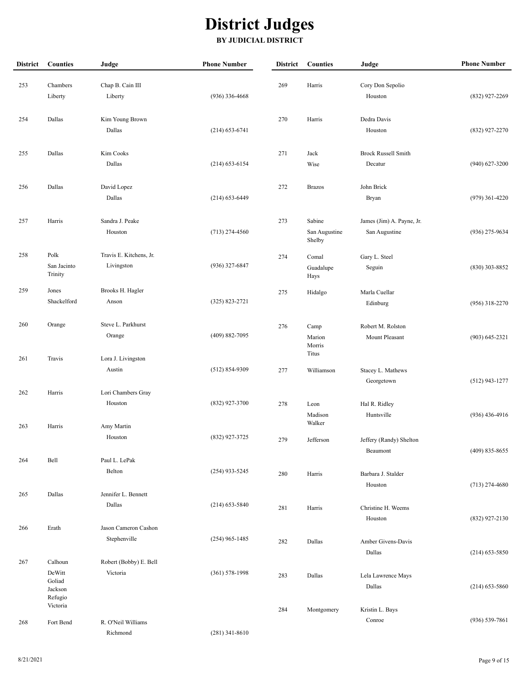| <b>District</b> | <b>Counties</b>                                   | Judge                                          | <b>Phone Number</b> | <b>District</b> | Counties                          | Judge                                      | <b>Phone Number</b> |
|-----------------|---------------------------------------------------|------------------------------------------------|---------------------|-----------------|-----------------------------------|--------------------------------------------|---------------------|
| 253             | Chambers<br>Liberty                               | Chap B. Cain III<br>Liberty                    | $(936)$ 336-4668    | 269             | Harris                            | Cory Don Sepolio<br>Houston                | (832) 927-2269      |
| 254             | Dallas                                            | Kim Young Brown<br>Dallas                      | $(214)$ 653-6741    | 270             | Harris                            | Dedra Davis<br>Houston                     | (832) 927-2270      |
| 255             | Dallas                                            | Kim Cooks<br>Dallas                            | $(214)$ 653-6154    | 271             | Jack<br>Wise                      | <b>Brock Russell Smith</b><br>Decatur      | $(940)$ 627-3200    |
| 256             | Dallas                                            | David Lopez<br>Dallas                          | $(214)$ 653-6449    | 272             | <b>Brazos</b>                     | John Brick<br><b>Bryan</b>                 | $(979)$ 361-4220    |
| 257             | Harris                                            | Sandra J. Peake<br>Houston                     | $(713)$ 274-4560    | 273             | Sabine<br>San Augustine<br>Shelby | James (Jim) A. Payne, Jr.<br>San Augustine | $(936)$ 275-9634    |
| 258             | Polk<br>San Jacinto<br>Trinity                    | Travis E. Kitchens, Jr.<br>Livingston          | (936) 327-6847      | 274             | Comal<br>Guadalupe<br>Hays        | Gary L. Steel<br>Seguin                    | $(830)$ 303-8852    |
| 259             | Jones<br>Shackelford                              | Brooks H. Hagler<br>Anson                      | $(325) 823 - 2721$  | 275             | Hidalgo                           | Marla Cuellar<br>Edinburg                  | $(956)$ 318-2270    |
| 260             | Orange                                            | Steve L. Parkhurst<br>Orange                   | $(409) 882 - 7095$  | 276             | Camp<br>Marion<br>Morris          | Robert M. Rolston<br>Mount Pleasant        | $(903) 645 - 2321$  |
| 261             | Travis                                            | Lora J. Livingston<br>Austin                   | $(512) 854-9309$    | 277             | Titus<br>Williamson               | Stacey L. Mathews<br>Georgetown            | $(512)$ 943-1277    |
| 262             | Harris                                            | Lori Chambers Gray<br>Houston                  | (832) 927-3700      | 278             | Leon<br>Madison<br>Walker         | Hal R. Ridley<br>Huntsville                | $(936)$ 436-4916    |
| 263             | Harris                                            | Amy Martin<br>Houston                          | (832) 927-3725      | 279             | Jefferson                         | Jeffery (Randy) Shelton<br>Beaumont        | $(409) 835 - 8655$  |
| 264<br>265      | Bell<br>Dallas                                    | Paul L. LePak<br>Belton<br>Jennifer L. Bennett | $(254)$ 933-5245    | 280             | Harris                            | Barbara J. Stalder<br>Houston              | $(713)$ 274-4680    |
|                 |                                                   | Dallas                                         | $(214)$ 653-5840    | 281             | Harris                            | Christine H. Weems<br>Houston              | $(832)$ 927-2130    |
| 266             | Erath                                             | Jason Cameron Cashon<br>Stephenville           | $(254)$ 965-1485    | 282             | Dallas                            | Amber Givens-Davis<br>Dallas               | $(214)$ 653-5850    |
| 267             | Calhoun<br>DeWitt<br>Goliad<br>Jackson<br>Refugio | Robert (Bobby) E. Bell<br>Victoria             | $(361) 578 - 1998$  | 283             | Dallas                            | Lela Lawrence Mays<br>Dallas               | $(214)$ 653-5860    |
| 268             | Victoria<br>Fort Bend                             | R. O'Neil Williams<br>Richmond                 | (281) 341-8610      | 284             | Montgomery                        | Kristin L. Bays<br>Conroe                  | $(936) 539 - 7861$  |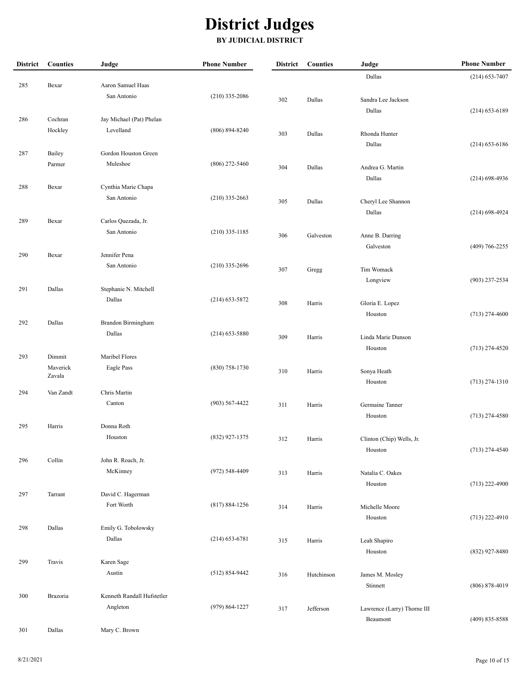| <b>District</b> | <b>Counties</b>    | Judge                      | <b>Phone Number</b> | <b>District</b> | <b>Counties</b> | Judge                       | <b>Phone Number</b> |
|-----------------|--------------------|----------------------------|---------------------|-----------------|-----------------|-----------------------------|---------------------|
|                 |                    |                            |                     |                 |                 | Dallas                      | $(214) 653 - 7407$  |
| 285             | Bexar              | Aaron Samuel Haas          |                     |                 |                 |                             |                     |
|                 |                    | San Antonio                | $(210)$ 335-2086    | 302             | Dallas          | Sandra Lee Jackson          |                     |
|                 |                    |                            |                     |                 |                 | Dallas                      | $(214)$ 653-6189    |
| 286             | Cochran            | Jay Michael (Pat) Phelan   |                     |                 |                 |                             |                     |
|                 | Hockley            | Levelland                  | $(806) 894 - 8240$  | 303             | Dallas          | Rhonda Hunter               |                     |
|                 |                    |                            |                     |                 |                 | Dallas                      | $(214)$ 653-6186    |
| 287             | Bailey             | Gordon Houston Green       |                     |                 |                 |                             |                     |
|                 | Parmer             | Muleshoe                   | $(806)$ 272-5460    | 304             | Dallas          | Andrea G. Martin            |                     |
|                 |                    |                            |                     |                 |                 | Dallas                      | $(214)$ 698-4936    |
| 288             | Bexar              | Cynthia Marie Chapa        |                     |                 |                 |                             |                     |
|                 |                    | San Antonio                | $(210)$ 335-2663    | 305             | Dallas          | Cheryl Lee Shannon          |                     |
|                 |                    |                            |                     |                 |                 | Dallas                      | $(214)$ 698-4924    |
| 289             | Bexar              | Carlos Quezada, Jr.        |                     |                 |                 |                             |                     |
|                 |                    | San Antonio                | $(210)$ 335-1185    | 306             | Galveston       | Anne B. Darring             |                     |
|                 |                    |                            |                     |                 |                 | Galveston                   | $(409) 766 - 2255$  |
| 290             | Bexar              | Jennifer Pena              |                     |                 |                 |                             |                     |
|                 |                    | San Antonio                | $(210)$ 335-2696    | 307             | Gregg           | Tim Womack                  |                     |
|                 |                    |                            |                     |                 |                 | Longview                    | (903) 237-2534      |
| 291             | Dallas             | Stephanie N. Mitchell      |                     |                 |                 |                             |                     |
|                 |                    | Dallas                     | $(214)$ 653-5872    | 308             | Harris          | Gloria E. Lopez             |                     |
|                 |                    |                            |                     |                 |                 | Houston                     | $(713)$ 274-4600    |
| 292             | Dallas             | Brandon Birmingham         |                     |                 |                 |                             |                     |
|                 |                    | Dallas                     | $(214)$ 653-5880    | 309             | Harris          | Linda Marie Dunson          |                     |
|                 |                    |                            |                     |                 |                 | Houston                     | $(713)$ 274-4520    |
| 293             | Dimmit             | Maribel Flores             |                     |                 |                 |                             |                     |
|                 | Maverick<br>Zavala | Eagle Pass                 | $(830)$ 758-1730    | 310             | Harris          | Sonya Heath                 |                     |
|                 |                    |                            |                     |                 |                 | Houston                     | $(713)$ 274-1310    |
| 294             | Van Zandt          | Chris Martin               |                     |                 |                 |                             |                     |
|                 |                    | Canton                     | $(903) 567 - 4422$  | 311             | Harris          | Germaine Tanner             |                     |
|                 |                    |                            |                     |                 |                 | Houston                     | $(713)$ 274-4580    |
| 295             | Harris             | Donna Roth                 |                     |                 |                 |                             |                     |
|                 |                    | Houston                    | (832) 927-1375      | 312             | Harris          | Clinton (Chip) Wells, Jr.   |                     |
|                 |                    |                            |                     |                 |                 | Houston                     | $(713)$ 274-4540    |
| 296             | Collin             | John R. Roach, Jr.         |                     |                 |                 |                             |                     |
|                 |                    | McKinney                   | (972) 548-4409      | 313             | Harris          | Natalia C. Oakes            |                     |
|                 |                    |                            |                     |                 |                 | Houston                     | $(713)$ 222-4900    |
| 297             | Tarrant            | David C. Hagerman          |                     |                 |                 |                             |                     |
|                 |                    | Fort Worth                 | $(817) 884 - 1256$  | 314             | Harris          | Michelle Moore              |                     |
|                 |                    |                            |                     |                 |                 | Houston                     | $(713)$ 222-4910    |
| 298             | Dallas             | Emily G. Tobolowsky        |                     |                 |                 |                             |                     |
|                 |                    | Dallas                     | $(214)$ 653-6781    | 315             | Harris          | Leah Shapiro                |                     |
|                 |                    |                            |                     |                 |                 | Houston                     | (832) 927-8480      |
| 299             | Travis             | Karen Sage                 |                     |                 |                 |                             |                     |
|                 |                    | Austin                     | $(512) 854-9442$    | 316             | Hutchinson      | James M. Mosley             |                     |
|                 |                    |                            |                     |                 |                 | Stinnett                    | (806) 878-4019      |
| 300             | Brazoria           | Kenneth Randall Hufstetler |                     |                 |                 |                             |                     |
|                 |                    | Angleton                   | $(979) 864 - 1227$  | 317             | Jefferson       | Lawrence (Larry) Thorne III |                     |
|                 |                    |                            |                     |                 |                 | Beaumont                    | (409) 835-8588      |
| 301             | Dallas             | Mary C. Brown              |                     |                 |                 |                             |                     |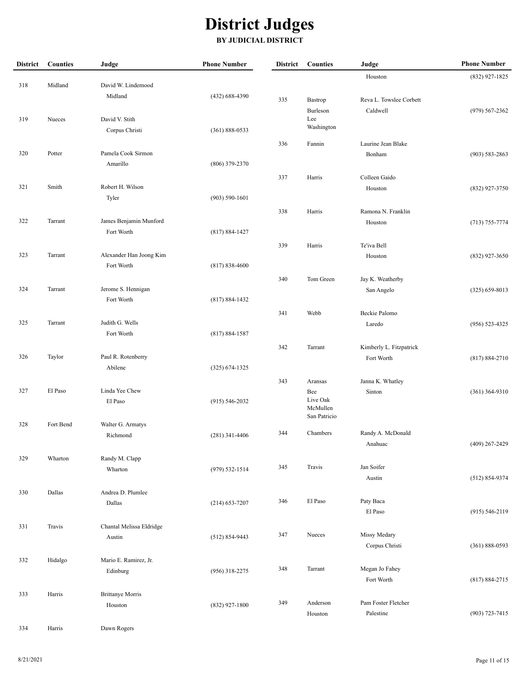| <b>District</b> | <b>Counties</b> | Judge                    | <b>Phone Number</b> | <b>District</b> | <b>Counties</b>      | Judge                   | <b>Phone Number</b> |
|-----------------|-----------------|--------------------------|---------------------|-----------------|----------------------|-------------------------|---------------------|
|                 |                 |                          |                     |                 |                      | Houston                 | (832) 927-1825      |
| 318             | Midland         | David W. Lindemood       |                     |                 |                      |                         |                     |
|                 |                 | Midland                  | $(432) 688 - 4390$  | 335             | Bastrop              | Reva L. Towslee Corbett |                     |
|                 |                 |                          |                     |                 | Burleson             | Caldwell                | $(979) 567 - 2362$  |
| 319             | Nueces          | David V. Stith           |                     |                 | Lee                  |                         |                     |
|                 |                 | Corpus Christi           | $(361) 888 - 0533$  |                 | Washington           |                         |                     |
|                 |                 |                          |                     | 336             | Fannin               | Laurine Jean Blake      |                     |
| 320             | Potter          | Pamela Cook Sirmon       |                     |                 |                      | Bonham                  | $(903) 583 - 2863$  |
|                 |                 | Amarillo                 | $(806)$ 379-2370    |                 |                      |                         |                     |
|                 |                 |                          |                     | 337             | Harris               | Colleen Gaido           |                     |
| 321             | Smith           | Robert H. Wilson         |                     |                 |                      | Houston                 | (832) 927-3750      |
|                 |                 | Tyler                    | $(903) 590 - 1601$  |                 |                      |                         |                     |
|                 |                 |                          |                     | 338             | Harris               | Ramona N. Franklin      |                     |
| 322             | Tarrant         | James Benjamin Munford   |                     |                 |                      | Houston                 | $(713) 755 - 7774$  |
|                 |                 | Fort Worth               | $(817) 884 - 1427$  |                 |                      |                         |                     |
|                 |                 |                          |                     | 339             | Harris               | Te'iva Bell             |                     |
| 323             | Tarrant         | Alexander Han Joong Kim  |                     |                 |                      | Houston                 | (832) 927-3650      |
|                 |                 | Fort Worth               | $(817) 838 - 4600$  |                 |                      |                         |                     |
|                 |                 |                          |                     | 340             | Tom Green            | Jay K. Weatherby        |                     |
| 324             | Tarrant         | Jerome S. Hennigan       |                     |                 |                      | San Angelo              | $(325) 659 - 8013$  |
|                 |                 | Fort Worth               | $(817) 884 - 1432$  |                 |                      |                         |                     |
|                 |                 |                          |                     | 341             | Webb                 | Beckie Palomo           |                     |
| 325             | Tarrant         | Judith G. Wells          |                     |                 |                      | Laredo                  | (956) 523-4325      |
|                 |                 | Fort Worth               | $(817) 884 - 1587$  |                 |                      |                         |                     |
|                 |                 |                          |                     | 342             | Tarrant              | Kimberly L. Fitzpatrick |                     |
| 326             | Taylor          | Paul R. Rotenberry       |                     |                 |                      | Fort Worth              | $(817) 884 - 2710$  |
|                 |                 | Abilene                  | $(325) 674 - 1325$  |                 |                      |                         |                     |
|                 |                 |                          |                     | 343             | Aransas              | Janna K. Whatley        |                     |
| 327             | El Paso         | Linda Yee Chew           |                     |                 | Bee                  | Sinton                  | $(361)$ 364-9310    |
|                 |                 | El Paso                  | $(915) 546 - 2032$  |                 | Live Oak<br>McMullen |                         |                     |
|                 |                 |                          |                     |                 | San Patricio         |                         |                     |
| 328             | Fort Bend       | Walter G. Armatys        |                     |                 |                      |                         |                     |
|                 |                 | Richmond                 | $(281)$ 341-4406    | 344             | Chambers             | Randy A. McDonald       |                     |
|                 |                 |                          |                     |                 |                      | Anahuac                 | (409) 267-2429      |
| 329             | Wharton         | Randy M. Clapp           |                     |                 |                      |                         |                     |
|                 |                 | Wharton                  | $(979) 532 - 1514$  | 345             | Travis               | Jan Soifer              |                     |
|                 |                 |                          |                     |                 |                      | Austin                  | $(512) 854-9374$    |
| 330             | Dallas          | Andrea D. Plumlee        |                     |                 |                      |                         |                     |
|                 |                 | Dallas                   | $(214) 653 - 7207$  | 346             | El Paso              | Paty Baca               |                     |
|                 |                 |                          |                     |                 |                      | El Paso                 | $(915) 546 - 2119$  |
| 331             | Travis          | Chantal Melissa Eldridge |                     |                 |                      |                         |                     |
|                 |                 | Austin                   | $(512) 854-9443$    | 347             | Nueces               | Missy Medary            |                     |
|                 |                 |                          |                     |                 |                      | Corpus Christi          | $(361) 888 - 0593$  |
| 332             | Hidalgo         | Mario E. Ramirez, Jr.    |                     |                 |                      |                         |                     |
|                 |                 | Edinburg                 | $(956)$ 318-2275    | 348             | Tarrant              | Megan Jo Fahey          |                     |
|                 |                 |                          |                     |                 |                      | Fort Worth              | $(817) 884 - 2715$  |
| 333             | Harris          | <b>Brittanye Morris</b>  |                     |                 |                      |                         |                     |
|                 |                 | Houston                  | (832) 927-1800      | 349             | Anderson             | Pam Foster Fletcher     |                     |
|                 |                 |                          |                     |                 | Houston              | Palestine               | (903) 723-7415      |
| 334             | Harris          | Dawn Rogers              |                     |                 |                      |                         |                     |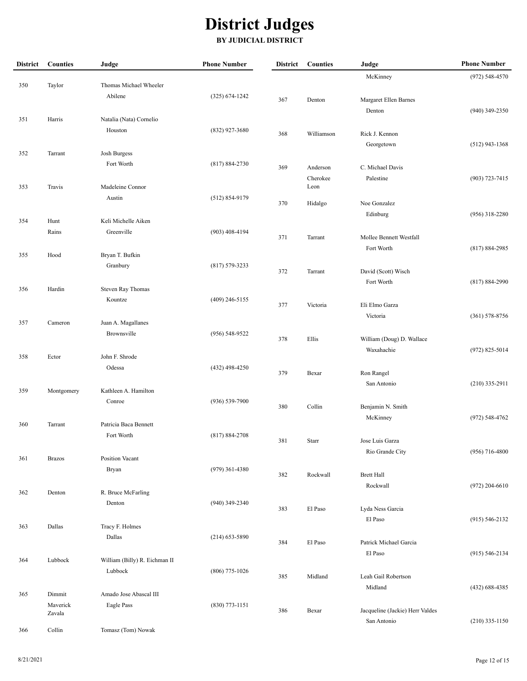| <b>District</b> | <b>Counties</b> | Judge                               | <b>Phone Number</b> | <b>District</b> | <b>Counties</b>      | Judge                                   | <b>Phone Number</b> |
|-----------------|-----------------|-------------------------------------|---------------------|-----------------|----------------------|-----------------------------------------|---------------------|
|                 |                 |                                     |                     |                 |                      | McKinney                                | (972) 548-4570      |
| 350             | Taylor          | Thomas Michael Wheeler              |                     |                 |                      |                                         |                     |
|                 |                 | Abilene                             | $(325) 674 - 1242$  | 367             | Denton               | Margaret Ellen Barnes                   |                     |
|                 |                 |                                     |                     |                 |                      | Denton                                  | (940) 349-2350      |
| 351             | Harris          | Natalia (Nata) Cornelio<br>Houston  | (832) 927-3680      |                 |                      |                                         |                     |
|                 |                 |                                     |                     | 368             | Williamson           | Rick J. Kennon                          |                     |
| 352             | Tarrant         | Josh Burgess                        |                     |                 |                      | Georgetown                              | $(512)$ 943-1368    |
|                 |                 | Fort Worth                          | $(817) 884 - 2730$  |                 |                      |                                         |                     |
|                 |                 |                                     |                     | 369             | Anderson<br>Cherokee | C. Michael Davis<br>Palestine           | (903) 723-7415      |
| 353             | Travis          | Madeleine Connor                    |                     |                 | Leon                 |                                         |                     |
|                 |                 | Austin                              | $(512) 854-9179$    | 370             | Hidalgo              | Noe Gonzalez                            |                     |
|                 |                 |                                     |                     |                 |                      | Edinburg                                | (956) 318-2280      |
| 354             | Hunt            | Keli Michelle Aiken                 |                     |                 |                      |                                         |                     |
|                 | Rains           | Greenville                          | $(903)$ 408-4194    | 371             | Tarrant              | Mollee Bennett Westfall                 |                     |
|                 |                 |                                     |                     |                 |                      | Fort Worth                              | $(817) 884 - 2985$  |
| 355             | Hood            | Bryan T. Bufkin                     |                     |                 |                      |                                         |                     |
|                 |                 | Granbury                            | (817) 579-3233      | 372             | Tarrant              | David (Scott) Wisch                     |                     |
|                 |                 |                                     |                     |                 |                      | Fort Worth                              | $(817) 884 - 2990$  |
| 356             | Hardin          | Steven Ray Thomas<br>Kountze        | $(409)$ 246-5155    |                 |                      |                                         |                     |
|                 |                 |                                     |                     | 377             | Victoria             | Eli Elmo Garza                          |                     |
| 357             | Cameron         | Juan A. Magallanes                  |                     |                 |                      | Victoria                                | $(361) 578 - 8756$  |
|                 |                 | Brownsville                         | (956) 548-9522      |                 |                      |                                         |                     |
|                 |                 |                                     |                     | 378             | Ellis                | William (Doug) D. Wallace<br>Waxahachie |                     |
| 358             | Ector           | John F. Shrode                      |                     |                 |                      |                                         | $(972) 825 - 5014$  |
|                 |                 | Odessa                              | $(432)$ 498-4250    | 379             | Bexar                | Ron Rangel                              |                     |
|                 |                 |                                     |                     |                 |                      | San Antonio                             | $(210)$ 335-2911    |
| 359             | Montgomery      | Kathleen A. Hamilton                |                     |                 |                      |                                         |                     |
|                 |                 | Conroe                              | $(936) 539 - 7900$  | 380             | Collin               | Benjamin N. Smith                       |                     |
|                 |                 |                                     |                     |                 |                      | McKinney                                | (972) 548-4762      |
| 360             | Tarrant         | Patricia Baca Bennett<br>Fort Worth | $(817) 884 - 2708$  |                 |                      |                                         |                     |
|                 |                 |                                     |                     | 381             | Starr                | Jose Luis Garza                         |                     |
| 361             | <b>Brazos</b>   | <b>Position Vacant</b>              |                     |                 |                      | Rio Grande City                         | $(956)$ 716-4800    |
|                 |                 | Bryan                               | $(979)$ 361-4380    |                 |                      |                                         |                     |
|                 |                 |                                     |                     | 382             | Rockwall             | <b>Brett Hall</b>                       |                     |
| 362             | Denton          | R. Bruce McFarling                  |                     |                 |                      | Rockwall                                | $(972)$ 204-6610    |
|                 |                 | Denton                              | $(940)$ 349-2340    | 383             | El Paso              | Lyda Ness Garcia                        |                     |
|                 |                 |                                     |                     |                 |                      | El Paso                                 | $(915) 546 - 2132$  |
| 363             | Dallas          | Tracy F. Holmes                     |                     |                 |                      |                                         |                     |
|                 |                 | Dallas                              | $(214)$ 653-5890    | 384             | El Paso              | Patrick Michael Garcia                  |                     |
|                 |                 |                                     |                     |                 |                      | El Paso                                 | $(915) 546 - 2134$  |
| 364             | Lubbock         | William (Billy) R. Eichman II       |                     |                 |                      |                                         |                     |
|                 |                 | Lubbock                             | $(806)$ 775-1026    | 385             | Midland              | Leah Gail Robertson                     |                     |
| 365             | Dimmit          | Amado Jose Abascal III              |                     |                 |                      | Midland                                 | $(432) 688 - 4385$  |
|                 | Maverick        | Eagle Pass                          | $(830)$ 773-1151    |                 |                      |                                         |                     |
|                 | Zavala          |                                     |                     | 386             | Bexar                | Jacqueline (Jackie) Herr Valdes         |                     |
| 366             | Collin          | Tomasz (Tom) Nowak                  |                     |                 |                      | San Antonio                             | $(210)$ 335-1150    |
|                 |                 |                                     |                     |                 |                      |                                         |                     |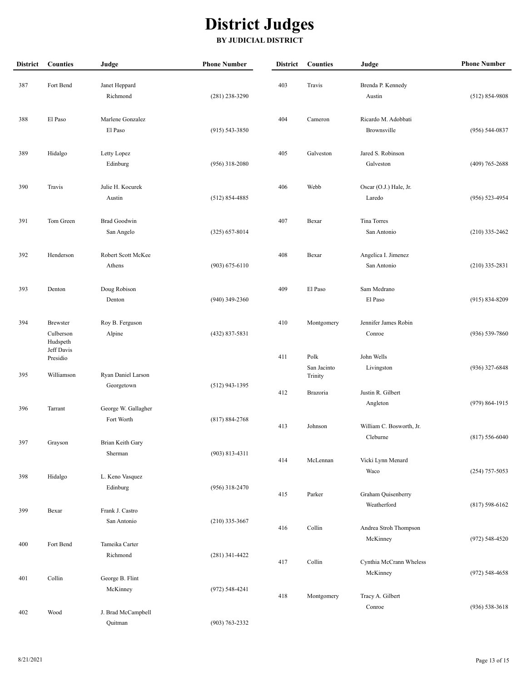| <b>District</b> | <b>Counties</b>                                        | Judge                             | <b>Phone Number</b> | <b>District</b> | <b>Counties</b>                | Judge                                | <b>Phone Number</b> |
|-----------------|--------------------------------------------------------|-----------------------------------|---------------------|-----------------|--------------------------------|--------------------------------------|---------------------|
| 387             | Fort Bend                                              | Janet Heppard<br>Richmond         | $(281)$ 238-3290    | 403             | Travis                         | Brenda P. Kennedy<br>Austin          | $(512) 854 - 9808$  |
| 388             | El Paso                                                | Marlene Gonzalez<br>El Paso       | $(915) 543 - 3850$  | 404             | Cameron                        | Ricardo M. Adobbati<br>Brownsville   | (956) 544-0837      |
| 389             | Hidalgo                                                | Letty Lopez<br>Edinburg           | $(956)$ 318-2080    | 405             | Galveston                      | Jared S. Robinson<br>Galveston       | $(409)$ 765-2688    |
| 390             | Travis                                                 | Julie H. Kocurek<br>Austin        | $(512) 854 - 4885$  | 406             | Webb                           | Oscar (O.J.) Hale, Jr.<br>Laredo     | $(956) 523 - 4954$  |
| 391             | Tom Green                                              | <b>Brad Goodwin</b><br>San Angelo | $(325) 657 - 8014$  | 407             | Bexar                          | Tina Torres<br>San Antonio           | $(210)$ 335-2462    |
| 392             | Henderson                                              | Robert Scott McKee<br>Athens      | $(903) 675 - 6110$  | 408             | Bexar                          | Angelica I. Jimenez<br>San Antonio   | $(210)$ 335-2831    |
| 393             | Denton                                                 | Doug Robison<br>Denton            | $(940)$ 349-2360    | 409             | El Paso                        | Sam Medrano<br>El Paso               | $(915) 834 - 8209$  |
| 394             | <b>Brewster</b><br>Culberson<br>Hudspeth<br>Jeff Davis | Roy B. Ferguson<br>Alpine         | $(432) 837 - 5831$  | 410             | Montgomery                     | Jennifer James Robin<br>Conroe       | $(936) 539 - 7860$  |
| 395             | Presidio<br>Williamson                                 | Ryan Daniel Larson                |                     | 411             | Polk<br>San Jacinto<br>Trinity | John Wells<br>Livingston             | (936) 327-6848      |
| 396             | Tarrant                                                | Georgetown<br>George W. Gallagher | $(512)$ 943-1395    | 412             | <b>Brazoria</b>                | Justin R. Gilbert<br>Angleton        | $(979) 864 - 1915$  |
| 397             | Grayson                                                | Fort Worth<br>Brian Keith Gary    | $(817) 884 - 2768$  | 413             | Johnson                        | William C. Bosworth, Jr.<br>Cleburne | $(817) 556 - 6040$  |
|                 |                                                        | Sherman                           | $(903) 813 - 4311$  | 414             | McLennan                       | Vicki Lynn Menard<br>Waco            | $(254)$ 757-5053    |
| 398             | Hidalgo                                                | L. Keno Vasquez<br>Edinburg       | $(956)$ 318-2470    | 415             | Parker                         | Graham Quisenberry<br>Weatherford    | $(817) 598 - 6162$  |
| 399             | Bexar                                                  | Frank J. Castro<br>San Antonio    | $(210)$ 335-3667    | 416             | Collin                         | Andrea Stroh Thompson                |                     |
| 400             | Fort Bend                                              | Tameika Carter<br>Richmond        | $(281)$ 341-4422    | 417             | Collin                         | McKinney<br>Cynthia McCrann Wheless  | (972) 548-4520      |
| 401             | Collin                                                 | George B. Flint<br>McKinney       | $(972) 548 - 4241$  | 418             | Montgomery                     | McKinney<br>Tracy A. Gilbert         | $(972) 548 - 4658$  |
| 402             | Wood                                                   | J. Brad McCampbell<br>Quitman     | $(903) 763 - 2332$  |                 |                                | Conroe                               | $(936) 538 - 3618$  |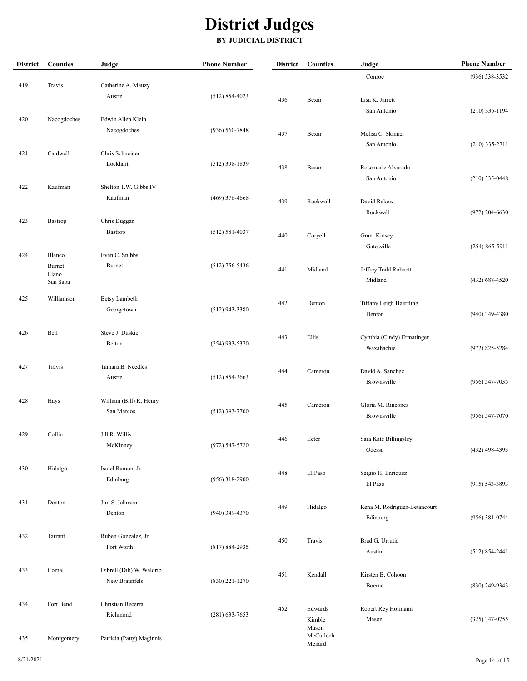| <b>District</b> | <b>Counties</b> | Judge                              | <b>Phone Number</b> | <b>District</b> | <b>Counties</b>    | Judge                                    | <b>Phone Number</b> |
|-----------------|-----------------|------------------------------------|---------------------|-----------------|--------------------|------------------------------------------|---------------------|
|                 |                 |                                    |                     |                 |                    | Conroe                                   | (936) 538-3532      |
| 419             | Travis          | Catherine A. Mauzy                 |                     |                 |                    |                                          |                     |
|                 |                 | Austin                             | $(512) 854 - 4023$  | 436             | Bexar              | Lisa K. Jarrett                          |                     |
|                 |                 |                                    |                     |                 |                    | San Antonio                              | $(210)$ 335-1194    |
| 420             | Nacogdoches     | Edwin Allen Klein<br>Nacogdoches   | $(936) 560 - 7848$  |                 |                    |                                          |                     |
|                 |                 |                                    |                     | 437             | Bexar              | Melisa C. Skinner                        |                     |
| 421             | Caldwell        | Chris Schneider                    |                     |                 |                    | San Antonio                              | $(210)$ 335-2711    |
|                 |                 | Lockhart                           | $(512)$ 398-1839    |                 |                    |                                          |                     |
|                 |                 |                                    |                     | 438             | Bexar              | Rosemarie Alvarado                       |                     |
| 422             | Kaufman         | Shelton T.W. Gibbs IV              |                     |                 |                    | San Antonio                              | $(210)$ 335-0448    |
|                 |                 | Kaufman                            | $(469)$ 376-4668    | 439             | Rockwall           | David Rakow                              |                     |
|                 |                 |                                    |                     |                 |                    | Rockwall                                 | $(972)$ 204-6630    |
| 423             | Bastrop         | Chris Duggan                       |                     |                 |                    |                                          |                     |
|                 |                 | Bastrop                            | $(512) 581 - 4037$  | 440             | Coryell            | <b>Grant Kinsey</b>                      |                     |
|                 |                 |                                    |                     |                 |                    | Gatesville                               | $(254) 865 - 5911$  |
| 424             | Blanco          | Evan C. Stubbs                     |                     |                 |                    |                                          |                     |
|                 | Burnet<br>Llano | Burnet                             | $(512)$ 756-5436    | 441             | Midland            | Jeffrey Todd Robnett                     |                     |
|                 | San Saba        |                                    |                     |                 |                    | Midland                                  | $(432) 688 - 4520$  |
|                 | Williamson      |                                    |                     |                 |                    |                                          |                     |
| 425             |                 | <b>Betsy Lambeth</b><br>Georgetown | $(512)$ 943-3380    | 442             | Denton             | Tiffany Leigh Haertling                  |                     |
|                 |                 |                                    |                     |                 |                    | Denton                                   | $(940)$ 349-4380    |
| 426             | Bell            | Steve J. Duskie                    |                     |                 |                    |                                          |                     |
|                 |                 | Belton                             | $(254)$ 933-5370    | 443             | Ellis              | Cynthia (Cindy) Ermatinger               |                     |
|                 |                 |                                    |                     |                 |                    | Waxahachie                               | $(972) 825 - 5284$  |
| 427             | Travis          | Tamara B. Needles                  |                     | 444             | Cameron            | David A. Sanchez                         |                     |
|                 |                 | Austin                             | $(512) 854 - 3663$  |                 |                    | Brownsville                              | $(956) 547 - 7035$  |
|                 |                 |                                    |                     |                 |                    |                                          |                     |
| 428             | Hays            | William (Bill) R. Henry            |                     | 445             | Cameron            | Gloria M. Rincones                       |                     |
|                 |                 | San Marcos                         | $(512)$ 393-7700    |                 |                    | Brownsville                              | (956) 547-7070      |
|                 |                 |                                    |                     |                 |                    |                                          |                     |
| 429             | Collin          | Jill R. Willis<br>McKinney         | (972) 547-5720      | 446             | Ector              | Sara Kate Billingsley                    |                     |
|                 |                 |                                    |                     |                 |                    | Odessa                                   | (432) 498-4393      |
| 430             | Hidalgo         | Israel Ramon, Jr.                  |                     |                 |                    |                                          |                     |
|                 |                 | Edinburg                           | $(956)$ 318-2900    | 448             | El Paso            | Sergio H. Enriquez                       |                     |
|                 |                 |                                    |                     |                 |                    | El Paso                                  | $(915) 543 - 3893$  |
| 431             | Denton          | Jim S. Johnson                     |                     |                 |                    |                                          |                     |
|                 |                 | Denton                             | $(940)$ 349-4370    | 449             | Hidalgo            | Rena M. Rodriguez-Betancourt<br>Edinburg | (956) 381-0744      |
|                 |                 |                                    |                     |                 |                    |                                          |                     |
| 432             | Tarrant         | Ruben Gonzalez, Jr.                |                     | 450             | Travis             | Brad G. Urrutia                          |                     |
|                 |                 | Fort Worth                         | $(817) 884 - 2935$  |                 |                    | Austin                                   | $(512) 854 - 2441$  |
|                 |                 |                                    |                     |                 |                    |                                          |                     |
| 433             | Comal           | Dibrell (Dib) W. Waldrip           |                     | 451             | Kendall            | Kirsten B. Cohoon                        |                     |
|                 |                 | New Braunfels                      | $(830)$ 221-1270    |                 |                    | Boerne                                   | (830) 249-9343      |
|                 |                 |                                    |                     |                 |                    |                                          |                     |
| 434             | Fort Bend       | Christian Becerra<br>Richmond      | $(281)$ 633-7653    | 452             | Edwards            | Robert Rey Hofmann                       |                     |
|                 |                 |                                    |                     |                 | Kimble             | Mason                                    | $(325)$ 347-0755    |
| 435             | Montgomery      | Patricia (Patty) Maginnis          |                     |                 | Mason<br>McCulloch |                                          |                     |
|                 |                 |                                    |                     |                 | Menard             |                                          |                     |